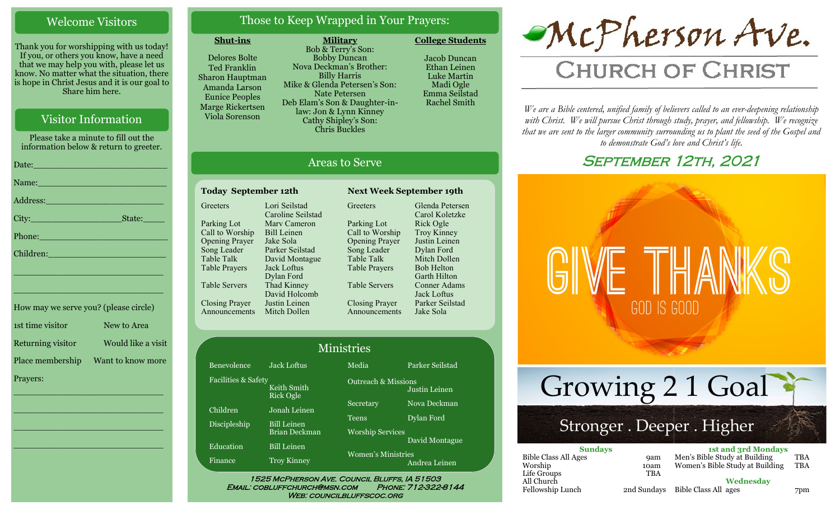#### Welcome Visitors

Thank you for worshipping with us today! If you, or others you know, have a need that we may help you with, please let us know. No matter what the situation, there is hope in Christ Jesus and it is our goal to Share him here.

#### Visitor Information

Please take a minute to fill out the information below & return to greeter. Date:\_\_\_\_\_\_\_\_\_\_\_\_\_\_\_\_\_\_\_\_\_\_\_\_\_ Name: Address:\_\_\_\_\_\_\_\_\_\_\_\_\_\_\_\_\_\_\_\_\_\_ City: State: Phone:

How may we serve you? (please circle) 1st time visitor New to Area Returning visitor Would like a visit Place membership Want to know more Prayers:

\_\_\_\_\_\_\_\_\_\_\_\_\_\_\_\_\_\_\_\_\_\_\_\_\_\_\_\_

\_\_\_\_\_\_\_\_\_\_\_\_\_\_\_\_\_\_\_\_\_\_\_\_\_\_\_\_

\_\_\_\_\_\_\_\_\_\_\_\_\_\_\_\_\_\_\_\_\_\_\_\_\_\_\_\_

\_\_\_\_\_\_\_\_\_\_\_\_\_\_\_\_\_\_\_\_\_\_\_\_\_\_\_\_

\_\_\_\_\_\_\_\_\_\_\_\_\_\_\_\_\_\_\_\_\_\_\_\_\_\_\_\_

\_\_\_\_\_\_\_\_\_\_\_\_\_\_\_\_\_\_\_\_\_\_\_\_\_\_\_\_

Children:

#### Those to Keep Wrapped in Your Prayers:

#### **Shut-ins**

Delores Bolte Ted Franklin Sharon Hauptman Amanda Larson Eunice Peoples Marge Rickertsen Viola Sorenson

**Military** Bob & Terry's Son: Bobby Duncan Nova Deckman's Brother: Billy Harris Mike & Glenda Petersen's Son: Nate Petersen Deb Elam's Son & Daughter-inlaw: Jon & Lynn Kinney Cathy Shipley's Son: Chris Buckles

Jacob Duncan Ethan Leinen Luke Martin Madi Ogle Emma Seilstad

Rachel Smith

**College Students** 



# **CHURCH OF CHRIST**

*We are a Bible centered, unified family of believers called to an ever-deepening relationship*  with Christ. We will pursue Christ through study, prayer, and fellowship. We recognize *that we are sent to the larger community surrounding us to plant the seed of the Gospel and to demonstrate God's love and Christ's life.*

# SEPTEMBER 12TH, 2021



Stronger . Deeper . Higher Growing 2 1 Goal

| <b>Sundays</b>              |             | <b>1st and 3rd Mondays</b>      |            |
|-----------------------------|-------------|---------------------------------|------------|
| <b>Bible Class All Ages</b> | <b>9am</b>  | Men's Bible Study at Building   | TBA        |
| Worship                     | 10am        | Women's Bible Study at Building | <b>TBA</b> |
| Life Groups                 | TBA         |                                 |            |
| All Church                  |             | Wednesdav                       |            |
| Fellowship Lunch            | 2nd Sundays | Bible Class All ages            | 7pm        |

### Areas to Serve

### **Today September 12th Next Week September 19th**

**Greeters** Parking Lot Call to Worship Opening Prayer Song Leader Table Talk Table Prayers Table Servers Closing Prayer Announcements Mitch Dollen Lori Seilstad Caroline Seilstad Marv Cameron Bill Leinen Jake Sola Parker Seilstad David Montague Jack Loftus Dylan Ford Thad Kinney David Holcomb Justin Leinen

Greeters Parking Lot Call to Worship Opening Prayer Song Leader Table Talk Table Prayers Table Servers Closing Prayer Announcements Glenda Petersen Carol Koletzke Rick Ogle Troy Kinney Justin Leinen Dylan Ford Mitch Dollen Bob Helton Garth Hilton Conner Adams Jack Loftus Parker Seilstad Jake Sola

|                     |                                            | <b>Ministries</b>                |                 |
|---------------------|--------------------------------------------|----------------------------------|-----------------|
| Benevolence         | <b>Jack Loftus</b>                         | Media                            | Parker Seilstad |
| Facilities & Safety | Keith Smith<br><b>Rick Ogle</b>            | <b>Outreach &amp; Missions</b>   | Justin Leinen   |
| Children            | Jonah Leinen                               | Secretary                        | Nova Deckman    |
| Discipleship        | <b>Bill Leinen</b><br><b>Brian Deckman</b> | Teens<br><b>Worship Services</b> | Dylan Ford      |
| Education           | <b>Bill Leinen</b>                         |                                  | David Montague  |
| Finance             | <b>Troy Kinney</b>                         | <b>Women's Ministries</b>        | Andrea Leinen   |

WEB: COUNCILBLUFFSCOC.ORG